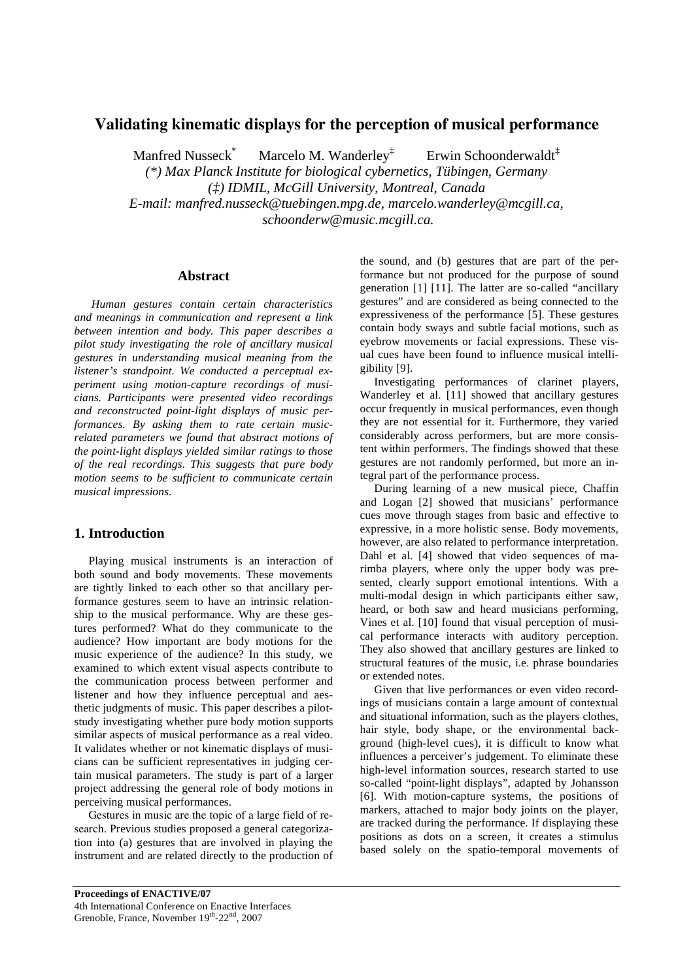# **Validating kinematic displays for the perception of musical performance**

Manfred Nusseck<sup>\*</sup> Marcelo M. Wanderley<sup> $\ddagger$ </sup> Erwin Schoonderwaldt<sup> $\ddagger$ </sup> *(\*) Max Planck Institute for biological cybernetics, Tübingen, Germany (‡) IDMIL, McGill University, Montreal, Canada E-mail: manfred.nusseck@tuebingen.mpg.de, marcelo.wanderley@mcgill.ca, schoonderw@music.mcgill.ca.* 

### **Abstract**

 *Human gestures contain certain characteristics and meanings in communication and represent a link between intention and body. This paper describes a pilot study investigating the role of ancillary musical gestures in understanding musical meaning from the listener's standpoint. We conducted a perceptual experiment using motion-capture recordings of musicians. Participants were presented video recordings and reconstructed point-light displays of music performances. By asking them to rate certain musicrelated parameters we found that abstract motions of the point-light displays yielded similar ratings to those of the real recordings. This suggests that pure body motion seems to be sufficient to communicate certain musical impressions.* 

### **1. Introduction**

Playing musical instruments is an interaction of both sound and body movements. These movements are tightly linked to each other so that ancillary performance gestures seem to have an intrinsic relationship to the musical performance. Why are these gestures performed? What do they communicate to the audience? How important are body motions for the music experience of the audience? In this study, we examined to which extent visual aspects contribute to the communication process between performer and listener and how they influence perceptual and aesthetic judgments of music. This paper describes a pilotstudy investigating whether pure body motion supports similar aspects of musical performance as a real video. It validates whether or not kinematic displays of musicians can be sufficient representatives in judging certain musical parameters. The study is part of a larger project addressing the general role of body motions in perceiving musical performances.

Gestures in music are the topic of a large field of research. Previous studies proposed a general categorization into (a) gestures that are involved in playing the instrument and are related directly to the production of

the sound, and (b) gestures that are part of the performance but not produced for the purpose of sound generation [1] [11]. The latter are so-called "ancillary gestures" and are considered as being connected to the expressiveness of the performance [5]. These gestures contain body sways and subtle facial motions, such as eyebrow movements or facial expressions. These visual cues have been found to influence musical intelligibility [9].

Investigating performances of clarinet players, Wanderley et al. [11] showed that ancillary gestures occur frequently in musical performances, even though they are not essential for it. Furthermore, they varied considerably across performers, but are more consistent within performers. The findings showed that these gestures are not randomly performed, but more an integral part of the performance process.

During learning of a new musical piece, Chaffin and Logan [2] showed that musicians' performance cues move through stages from basic and effective to expressive, in a more holistic sense. Body movements, however, are also related to performance interpretation. Dahl et al. [4] showed that video sequences of marimba players, where only the upper body was presented, clearly support emotional intentions. With a multi-modal design in which participants either saw, heard, or both saw and heard musicians performing, Vines et al. [10] found that visual perception of musical performance interacts with auditory perception. They also showed that ancillary gestures are linked to structural features of the music, i.e. phrase boundaries or extended notes.

Given that live performances or even video recordings of musicians contain a large amount of contextual and situational information, such as the players clothes, hair style, body shape, or the environmental background (high-level cues), it is difficult to know what influences a perceiver's judgement. To eliminate these high-level information sources, research started to use so-called "point-light displays", adapted by Johansson [6]. With motion-capture systems, the positions of markers, attached to major body joints on the player, are tracked during the performance. If displaying these positions as dots on a screen, it creates a stimulus based solely on the spatio-temporal movements of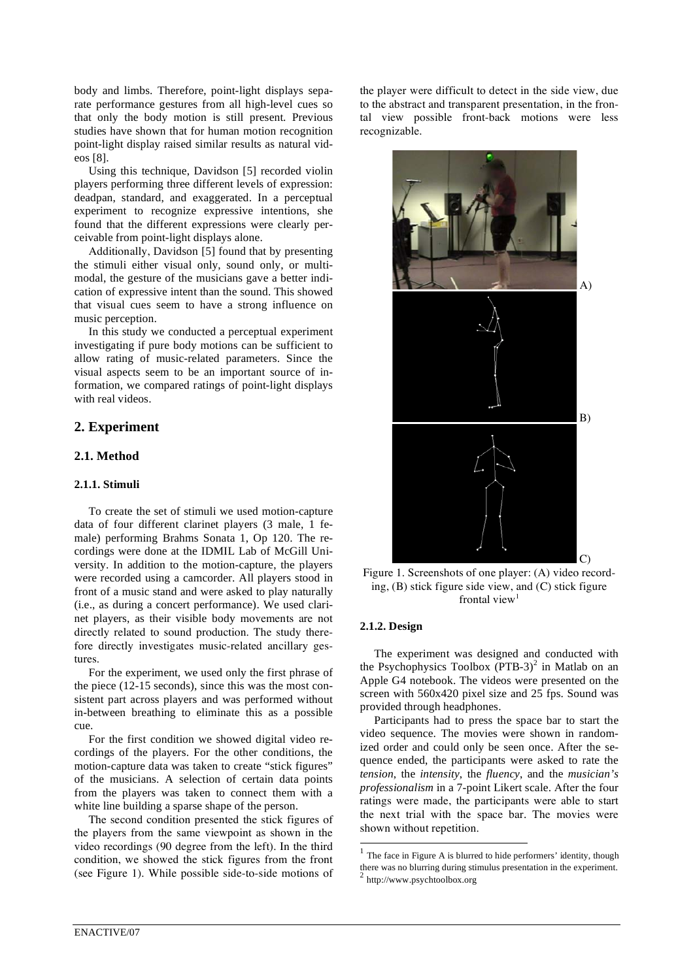body and limbs. Therefore, point-light displays separate performance gestures from all high-level cues so that only the body motion is still present. Previous studies have shown that for human motion recognition point-light display raised similar results as natural videos [8].

Using this technique, Davidson [5] recorded violin players performing three different levels of expression: deadpan, standard, and exaggerated. In a perceptual experiment to recognize expressive intentions, she found that the different expressions were clearly perceivable from point-light displays alone.

Additionally, Davidson [5] found that by presenting the stimuli either visual only, sound only, or multimodal, the gesture of the musicians gave a better indication of expressive intent than the sound. This showed that visual cues seem to have a strong influence on music perception.

In this study we conducted a perceptual experiment investigating if pure body motions can be sufficient to allow rating of music-related parameters. Since the visual aspects seem to be an important source of information, we compared ratings of point-light displays with real videos.

# **2. Experiment**

# **2.1. Method**

### **2.1.1. Stimuli**

To create the set of stimuli we used motion-capture data of four different clarinet players (3 male, 1 female) performing Brahms Sonata 1, Op 120. The recordings were done at the IDMIL Lab of McGill University. In addition to the motion-capture, the players were recorded using a camcorder. All players stood in front of a music stand and were asked to play naturally (i.e., as during a concert performance). We used clarinet players, as their visible body movements are not directly related to sound production. The study therefore directly investigates music-related ancillary gestures.

For the experiment, we used only the first phrase of the piece (12-15 seconds), since this was the most consistent part across players and was performed without in-between breathing to eliminate this as a possible cue.

For the first condition we showed digital video recordings of the players. For the other conditions, the motion-capture data was taken to create "stick figures" of the musicians. A selection of certain data points from the players was taken to connect them with a white line building a sparse shape of the person.

The second condition presented the stick figures of the players from the same viewpoint as shown in the video recordings (90 degree from the left). In the third condition, we showed the stick figures from the front (see Figure 1). While possible side-to-side motions of

the player were difficult to detect in the side view, due to the abstract and transparent presentation, in the frontal view possible front-back motions were less recognizable.



Figure 1. Screenshots of one player: (A) video recording, (B) stick figure side view, and (C) stick figure frontal view<sup>1</sup>

#### **2.1.2. Design**

l

The experiment was designed and conducted with the Psychophysics Toolbox  $(PTB-3)^2$  in Matlab on an Apple G4 notebook. The videos were presented on the screen with 560x420 pixel size and 25 fps. Sound was provided through headphones.

Participants had to press the space bar to start the video sequence. The movies were shown in randomized order and could only be seen once. After the sequence ended, the participants were asked to rate the *tension*, the *intensity*, the *fluency*, and the *musician's professionalism* in a 7-point Likert scale. After the four ratings were made, the participants were able to start the next trial with the space bar. The movies were shown without repetition.

 $<sup>1</sup>$  The face in Figure A is blurred to hide performers' identity, though</sup> there was no blurring during stimulus presentation in the experiment.  $^2$  http://www.psychtoolbox.org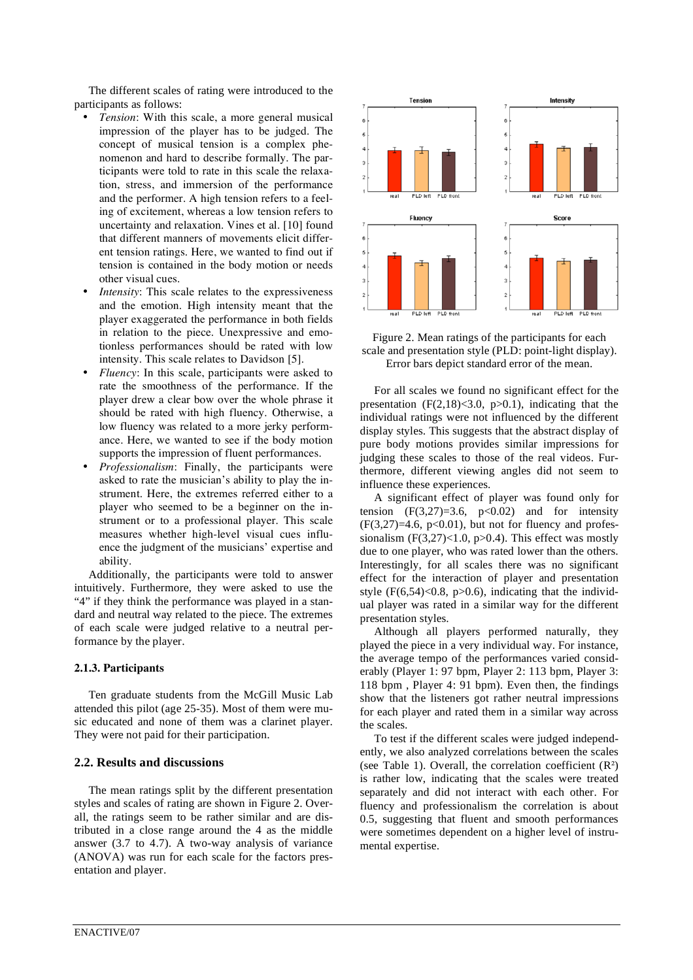The different scales of rating were introduced to the participants as follows:

- *Tension*: With this scale, a more general musical impression of the player has to be judged. The concept of musical tension is a complex phenomenon and hard to describe formally. The participants were told to rate in this scale the relaxation, stress, and immersion of the performance and the performer. A high tension refers to a feeling of excitement, whereas a low tension refers to uncertainty and relaxation. Vines et al. [10] found that different manners of movements elicit different tension ratings. Here, we wanted to find out if tension is contained in the body motion or needs other visual cues.
- *Intensity*: This scale relates to the expressiveness and the emotion. High intensity meant that the player exaggerated the performance in both fields in relation to the piece. Unexpressive and emotionless performances should be rated with low intensity. This scale relates to Davidson [5].
- *Fluency*: In this scale, participants were asked to rate the smoothness of the performance. If the player drew a clear bow over the whole phrase it should be rated with high fluency. Otherwise, a low fluency was related to a more jerky performance. Here, we wanted to see if the body motion supports the impression of fluent performances.
- *Professionalism*: Finally, the participants were asked to rate the musician's ability to play the instrument. Here, the extremes referred either to a player who seemed to be a beginner on the instrument or to a professional player. This scale measures whether high-level visual cues influence the judgment of the musicians' expertise and ability.

Additionally, the participants were told to answer intuitively. Furthermore, they were asked to use the "4" if they think the performance was played in a standard and neutral way related to the piece. The extremes of each scale were judged relative to a neutral performance by the player.

### **2.1.3. Participants**

Ten graduate students from the McGill Music Lab attended this pilot (age 25-35). Most of them were music educated and none of them was a clarinet player. They were not paid for their participation.

### **2.2. Results and discussions**

The mean ratings split by the different presentation styles and scales of rating are shown in Figure 2. Overall, the ratings seem to be rather similar and are distributed in a close range around the 4 as the middle answer (3.7 to 4.7). A two-way analysis of variance (ANOVA) was run for each scale for the factors presentation and player.



Figure 2. Mean ratings of the participants for each scale and presentation style (PLD: point-light display). Error bars depict standard error of the mean.

For all scales we found no significant effect for the presentation  $(F(2,18) < 3.0, p > 0.1)$ , indicating that the individual ratings were not influenced by the different display styles. This suggests that the abstract display of pure body motions provides similar impressions for judging these scales to those of the real videos. Furthermore, different viewing angles did not seem to influence these experiences.

A significant effect of player was found only for tension  $(F(3,27)=3.6, p<0.02)$  and for intensity  $(F(3,27)=4.6, p<0.01)$ , but not for fluency and professionalism  $(F(3,27) < 1.0, p > 0.4)$ . This effect was mostly due to one player, who was rated lower than the others. Interestingly, for all scales there was no significant effect for the interaction of player and presentation style  $(F(6,54) < 0.8, p > 0.6)$ , indicating that the individual player was rated in a similar way for the different presentation styles.

Although all players performed naturally, they played the piece in a very individual way. For instance, the average tempo of the performances varied considerably (Player 1: 97 bpm, Player 2: 113 bpm, Player 3: 118 bpm , Player 4: 91 bpm). Even then, the findings show that the listeners got rather neutral impressions for each player and rated them in a similar way across the scales.

To test if the different scales were judged independently, we also analyzed correlations between the scales (see Table 1). Overall, the correlation coefficient  $(R^2)$ is rather low, indicating that the scales were treated separately and did not interact with each other. For fluency and professionalism the correlation is about 0.5, suggesting that fluent and smooth performances were sometimes dependent on a higher level of instrumental expertise.